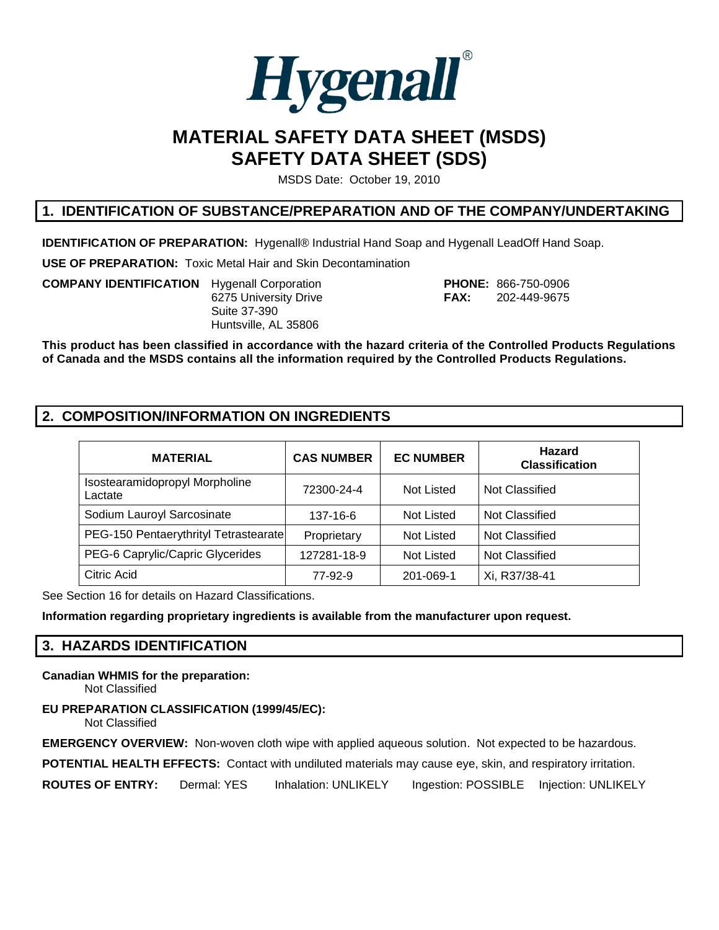

# **MATERIAL SAFETY DATA SHEET (MSDS) SAFETY DATA SHEET (SDS)**

MSDS Date: October 19, 2010

## **1. IDENTIFICATION OF SUBSTANCE/PREPARATION AND OF THE COMPANY/UNDERTAKING**

**IDENTIFICATION OF PREPARATION:** Hygenall® Industrial Hand Soap and Hygenall LeadOff Hand Soap.

**USE OF PREPARATION:** Toxic Metal Hair and Skin Decontamination

**COMPANY IDENTIFICATION** Hygenall Corporation **PHONE:** 866-750-0906 Suite 37-390 Huntsville, AL 35806

6275 University Drive **FAX:** 202-449-9675

**This product has been classified in accordance with the hazard criteria of the Controlled Products Regulations of Canada and the MSDS contains all the information required by the Controlled Products Regulations.**

## **2. COMPOSITION/INFORMATION ON INGREDIENTS**

| <b>MATERIAL</b>                           | <b>CAS NUMBER</b> | <b>EC NUMBER</b> | <b>Hazard</b><br><b>Classification</b> |
|-------------------------------------------|-------------------|------------------|----------------------------------------|
| Isostearamidopropyl Morpholine<br>Lactate | 72300-24-4        | Not Listed       | Not Classified                         |
| Sodium Lauroyl Sarcosinate                | 137-16-6          | Not Listed       | Not Classified                         |
| PEG-150 Pentaerythrityl Tetrastearate     | Proprietary       | Not Listed       | Not Classified                         |
| PEG-6 Caprylic/Capric Glycerides          | 127281-18-9       | Not Listed       | Not Classified                         |
| Citric Acid                               | 77-92-9           | 201-069-1        | Xi, R37/38-41                          |

See Section 16 for details on Hazard Classifications.

**Information regarding proprietary ingredients is available from the manufacturer upon request.**

## **3. HAZARDS IDENTIFICATION**

### **Canadian WHMIS for the preparation:**

Not Classified

### **EU PREPARATION CLASSIFICATION (1999/45/EC):**

Not Classified

**EMERGENCY OVERVIEW:** Non-woven cloth wipe with applied aqueous solution. Not expected to be hazardous.

**POTENTIAL HEALTH EFFECTS:** Contact with undiluted materials may cause eye, skin, and respiratory irritation.

**ROUTES OF ENTRY:** Dermal: YES Inhalation: UNLIKELY Ingestion: POSSIBLE Injection: UNLIKELY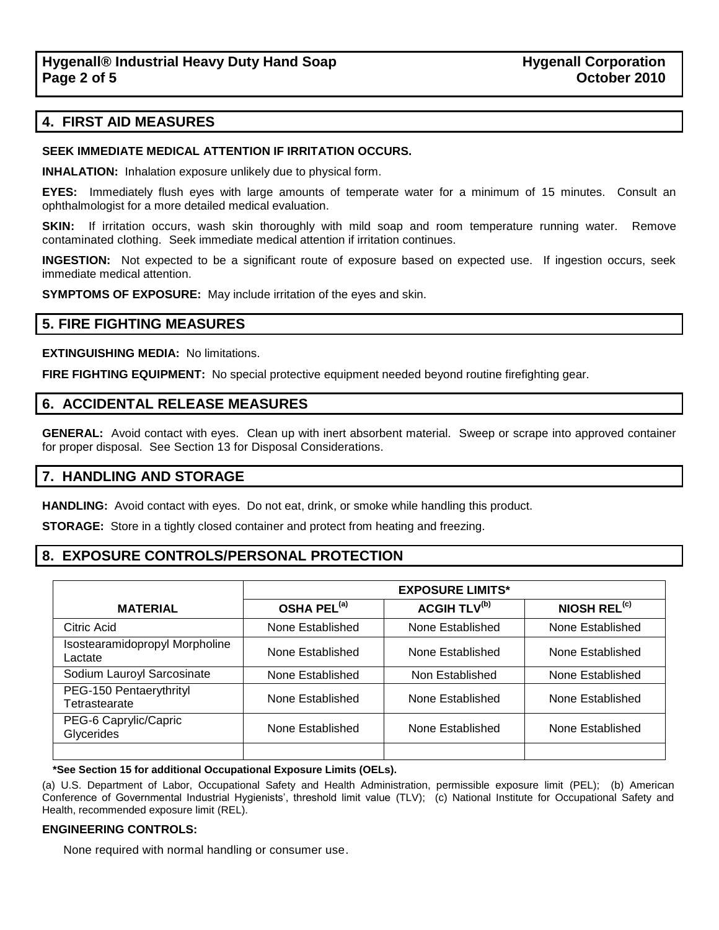## **4. FIRST AID MEASURES**

#### **SEEK IMMEDIATE MEDICAL ATTENTION IF IRRITATION OCCURS.**

**INHALATION:** Inhalation exposure unlikely due to physical form.

**EYES:** Immediately flush eyes with large amounts of temperate water for a minimum of 15 minutes. Consult an ophthalmologist for a more detailed medical evaluation.

**SKIN:** If irritation occurs, wash skin thoroughly with mild soap and room temperature running water. Remove contaminated clothing. Seek immediate medical attention if irritation continues.

**INGESTION:** Not expected to be a significant route of exposure based on expected use. If ingestion occurs, seek immediate medical attention.

**SYMPTOMS OF EXPOSURE:** May include irritation of the eyes and skin.

### **5. FIRE FIGHTING MEASURES**

**EXTINGUISHING MEDIA:** No limitations.

**FIRE FIGHTING EQUIPMENT:** No special protective equipment needed beyond routine firefighting gear.

## **6. ACCIDENTAL RELEASE MEASURES**

**GENERAL:** Avoid contact with eyes. Clean up with inert absorbent material. Sweep or scrape into approved container for proper disposal. See Section 13 for Disposal Considerations.

### **7. HANDLING AND STORAGE**

**HANDLING:** Avoid contact with eyes. Do not eat, drink, or smoke while handling this product.

**STORAGE:** Store in a tightly closed container and protect from heating and freezing.

## **8. EXPOSURE CONTROLS/PERSONAL PROTECTION**

|                                           | <b>EXPOSURE LIMITS*</b> |                                |                          |
|-------------------------------------------|-------------------------|--------------------------------|--------------------------|
| <b>MATERIAL</b>                           | OSHA PEL <sup>(a)</sup> | <b>ACGIH TLV<sup>(b)</sup></b> | NIOSH REL <sup>(c)</sup> |
| Citric Acid                               | None Established        | None Established               | None Established         |
| Isostearamidopropyl Morpholine<br>Lactate | None Established        | None Established               | None Established         |
| Sodium Lauroyl Sarcosinate                | None Established        | Non Established                | None Established         |
| PEG-150 Pentaerythrityl<br>Tetrastearate  | None Established        | None Established               | None Established         |
| PEG-6 Caprylic/Capric<br>Glycerides       | None Established        | None Established               | None Established         |
|                                           |                         |                                |                          |

#### **\*See Section 15 for additional Occupational Exposure Limits (OELs).**

(a) U.S. Department of Labor, Occupational Safety and Health Administration, permissible exposure limit (PEL); (b) American Conference of Governmental Industrial Hygienists', threshold limit value (TLV); (c) National Institute for Occupational Safety and Health, recommended exposure limit (REL).

#### **ENGINEERING CONTROLS:**

None required with normal handling or consumer use.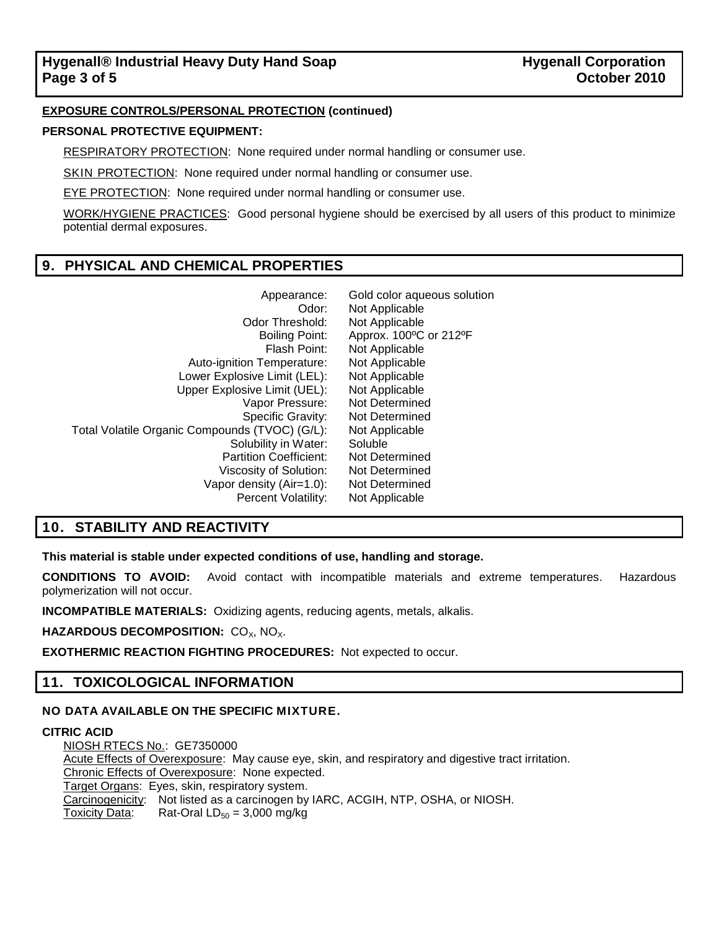### **EXPOSURE CONTROLS/PERSONAL PROTECTION (continued)**

#### **PERSONAL PROTECTIVE EQUIPMENT:**

RESPIRATORY PROTECTION: None required under normal handling or consumer use.

SKIN PROTECTION: None required under normal handling or consumer use.

EYE PROTECTION: None required under normal handling or consumer use.

WORK/HYGIENE PRACTICES: Good personal hygiene should be exercised by all users of this product to minimize potential dermal exposures.

## **9. PHYSICAL AND CHEMICAL PROPERTIES**

| Appearance:                                    | Gold color aqueous solution |
|------------------------------------------------|-----------------------------|
| Odor:                                          | Not Applicable              |
| Odor Threshold:                                | Not Applicable              |
| Boiling Point:                                 | Approx. 100°C or 212°F      |
| Flash Point:                                   | Not Applicable              |
| Auto-ignition Temperature:                     | Not Applicable              |
| Lower Explosive Limit (LEL):                   | Not Applicable              |
| Upper Explosive Limit (UEL):                   | Not Applicable              |
| Vapor Pressure:                                | Not Determined              |
| Specific Gravity:                              | Not Determined              |
| Total Volatile Organic Compounds (TVOC) (G/L): | Not Applicable              |
| Solubility in Water:                           | Soluble                     |
| <b>Partition Coefficient:</b>                  | Not Determined              |
| Viscosity of Solution:                         | Not Determined              |
| Vapor density (Air=1.0):                       | Not Determined              |
| Percent Volatility:                            | Not Applicable              |

## **10. STABILITY AND REACTIVITY**

**This material is stable under expected conditions of use, handling and storage.**

**CONDITIONS TO AVOID:** Avoid contact with incompatible materials and extreme temperatures. Hazardous polymerization will not occur.

**INCOMPATIBLE MATERIALS:** Oxidizing agents, reducing agents, metals, alkalis.

**HAZARDOUS DECOMPOSITION: CO<sub>X</sub>, NO<sub>X</sub>.** 

**EXOTHERMIC REACTION FIGHTING PROCEDURES:** Not expected to occur.

## **11. TOXICOLOGICAL INFORMATION**

#### **NO DATA AVAILABLE ON THE SPECIFIC MIXTURE.**

#### **CITRIC ACID**

NIOSH RTECS No.: GE7350000 Acute Effects of Overexposure: May cause eye, skin, and respiratory and digestive tract irritation. Chronic Effects of Overexposure: None expected. Target Organs: Eyes, skin, respiratory system. Carcinogenicity: Not listed as a carcinogen by IARC, ACGIH, NTP, OSHA, or NIOSH. Toxicity Data: Rat-Oral  $LD_{50} = 3,000$  mg/kg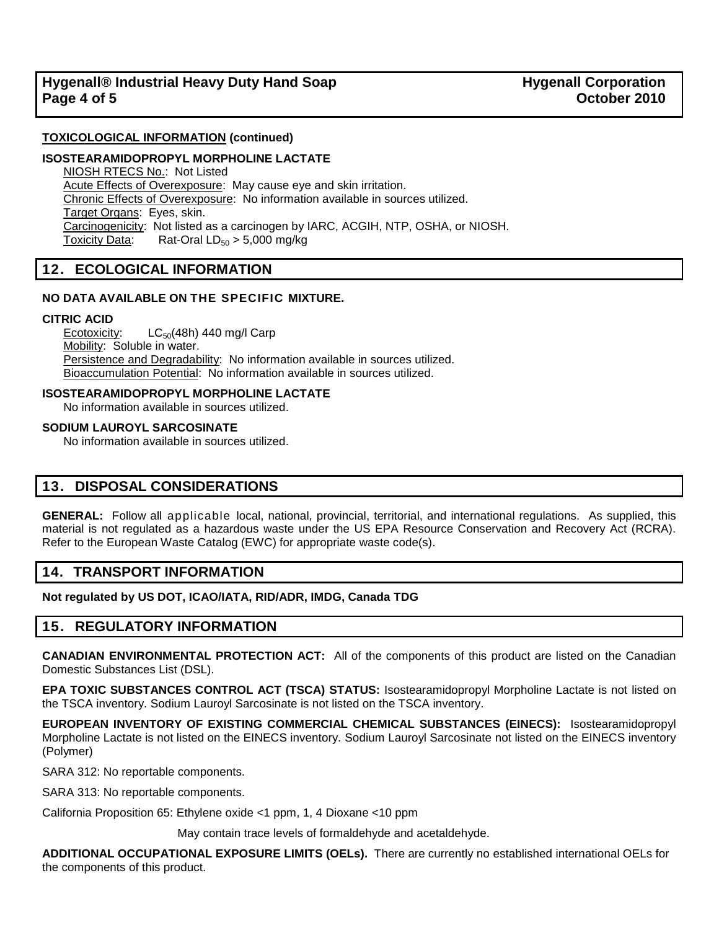#### **TOXICOLOGICAL INFORMATION (continued)**

#### **ISOSTEARAMIDOPROPYL MORPHOLINE LACTATE**

NIOSH RTECS No.: Not Listed Acute Effects of Overexposure: May cause eye and skin irritation. Chronic Effects of Overexposure: No information available in sources utilized. Target Organs: Eyes, skin. Carcinogenicity: Not listed as a carcinogen by IARC, ACGIH, NTP, OSHA, or NIOSH. Toxicity Data: Rat-Oral  $LD_{50} > 5,000$  mg/kg

## **12. ECOLOGICAL INFORMATION**

#### **NO DATA AVAILABLE ON THE SPECIFIC MIXTURE.**

#### **CITRIC ACID**

Ecotoxicity:  $LC_{50}(48h)$  440 mg/l Carp Mobility: Soluble in water. Persistence and Degradability: No information available in sources utilized. Bioaccumulation Potential: No information available in sources utilized.

#### **ISOSTEARAMIDOPROPYL MORPHOLINE LACTATE**

No information available in sources utilized.

#### **SODIUM LAUROYL SARCOSINATE**

No information available in sources utilized.

## **13. DISPOSAL CONSIDERATIONS**

**GENERAL:** Follow all applicable local, national, provincial, territorial, and international regulations. As supplied, this material is not regulated as a hazardous waste under the US EPA Resource Conservation and Recovery Act (RCRA). Refer to the European Waste Catalog (EWC) for appropriate waste code(s).

### **14. TRANSPORT INFORMATION**

**Not regulated by US DOT, ICAO/IATA, RID/ADR, IMDG, Canada TDG**

## **15. REGULATORY INFORMATION**

**CANADIAN ENVIRONMENTAL PROTECTION ACT:** All of the components of this product are listed on the Canadian Domestic Substances List (DSL).

**EPA TOXIC SUBSTANCES CONTROL ACT (TSCA) STATUS:** Isostearamidopropyl Morpholine Lactate is not listed on the TSCA inventory. Sodium Lauroyl Sarcosinate is not listed on the TSCA inventory.

**EUROPEAN INVENTORY OF EXISTING COMMERCIAL CHEMICAL SUBSTANCES (EINECS):** Isostearamidopropyl Morpholine Lactate is not listed on the EINECS inventory. Sodium Lauroyl Sarcosinate not listed on the EINECS inventory (Polymer)

SARA 312: No reportable components.

SARA 313: No reportable components.

California Proposition 65: Ethylene oxide <1 ppm, 1, 4 Dioxane <10 ppm

May contain trace levels of formaldehyde and acetaldehyde.

**ADDITIONAL OCCUPATIONAL EXPOSURE LIMITS (OELs).** There are currently no established international OELs for the components of this product.